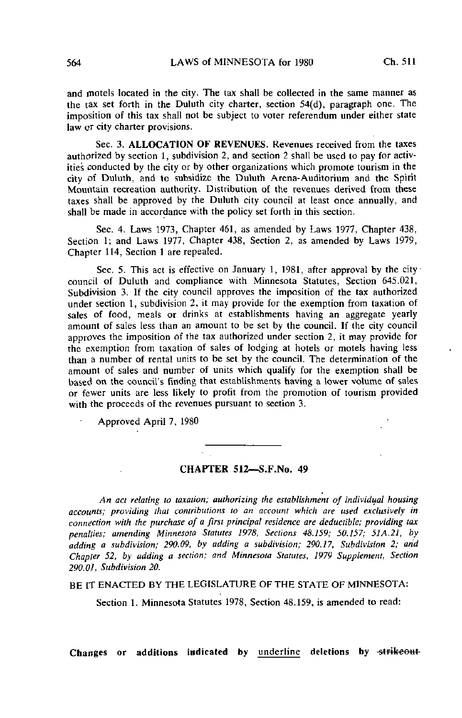and motels located in the city. The tax shall be collected in the same manner as the tax set forth in the Duluth city charter, section 54(d), paragraph one. The imposition of this tax shall not be subject to voter referendum under either state law or city charter provisions.

Sec. 3. ALLOCATION OF REVENUES. Revenues received from the taxes authorized by section 1, subdivision 2, and section 2 shall be used to pay for activities conducted by the city or by other organizations which promote tourism in the city of Duluth, and to subsidize the Duluth Arena-Auditorium and the Spirit Mountain recreation authority. Distribution of the revenues derived from these taxes shall be approved by the Duluth city council at least once annually, and shall be made in accordance with the policy set forth in this section.

Sec. 4. Laws 1973, Chapter 461, as amended by Laws 1977, Chapter 438, Section 1; and Laws 1977, Chapter 438, Section 2, as amended by Laws 1979, Chapter 114, Section 1 are repealed.

Sec. 5. This act is effective on January 1, 1981, after approval by the city council of Duluth and compliance with Minnesota Statutes, Section 645.021, Subdivision 3. If the city council approves the imposition of the tax authorized under section 1, subdivision 2, it may provide for the exemption from taxation of sales of food, meals or drinks at establishments having an aggregate yearly amount of sales less than an amount to be set by the council. If the city council approves the imposition of the tax authorized under section 2, it may provide for the exemption from taxation of sales of lodging at hotels or motels having less than a number of rental units to be set by the council. The determination of the amount of sales and number of units which qualify for the exemption shall be based on the council's finding that establishments having a lower volume of sales or fewer units are less likely to profit from the promotion of tourism provided with the proceeds of the revenues pursuant to section 3.

Approved April 7, 1980

## CHAPTER 512—S.F.No. 49

An act relating to taxation; authorizing the establishment of individual housing accounts; providing that contributions to an account which are used exclusively in connection with the purchase of a first principal residence are deductible; providing tax penalties; amending Minnesota Statutes 1978, Sections 48.159; 50.157; 51A.21, by adding a subdivision; 290-09, by adding a subdivision; 290.17, Subdivision 2; and Chapter 52, by adding a section; and Minnesota Statutes, 1979 Supplement, Section 290.01, Subdivision 20.

BE IT ENACTED BY THE LEGISLATURE OF THE STATE OF MINNESOTA:

Section 1. Minnesota Statutes 1978, Section 48.159, is amended to read: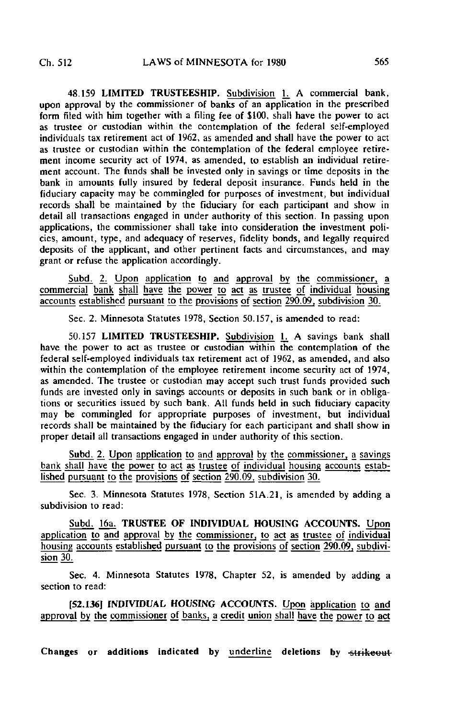48.159 LIMITED TRUSTEESHIP. Subdivision 1. A commercial bank, upon approval by the commissioner of banks of an application in the prescribed form filed with him together with a filing fee of \$100, shall have the power to act as trustee or custodian within the contemplation of the federal self-employed individuals tax retirement act of 1962, as amended and shall have the power to act as trustee or custodian within the contemplation of the federal employee retirement income security act of 1974, as amended, to establish an individual retirement account. The funds shall be invested only in savings or time deposits in the bank in amounts fully insured by federal deposit insurance. Funds held in the fiduciary capacity may be commingled for purposes of investment, but individual records shall be maintained by the fiduciary for each participant and show in detail all transactions engaged in under authority of this section. In passing upon applications, the commissioner shall take into consideration the investment policies, amount, type, and adequacy of reserves, fidelity bonds, and legally required deposits of the applicant, and other pertinent facts and circumstances, and may grant or refuse the application accordingly.

Subd. 2. Upon application to and approval by the commissioner, a commercial bank shall have the power to act as trustee of individual housing accounts established pursuant to the provisions of section 290.09, subdivision 30.

Sec. 2. Minnesota Statutes 1978, Section 50.157, is amended to read:

50.157 LIMITED TRUSTEESHIP. Subdivision 1. A savings bank shall have the power to act as trustee or custodian within the contemplation of the federal self-employed individuals tax retirement act of 1962, as amended, and also within the contemplation of the employee retirement income security act of 1974, as amended. The trustee or custodian may accept such trust funds provided such funds are invested only in savings accounts or deposits in such bank or in obligations or securities issued by such bank. All funds held in such fiduciary capacity may be commingled for appropriate purposes of investment, but individual records shall be maintained by the fiduciary for each participant and shall show in proper detail all transactions engaged in under authority of this section.

Subd. 2. Upon application to and approval by the commissioner, a savings bank shall have the power to act as trustee of individual housing accounts established pursuant to the provisions of section 290.09, subdivision 30.

Sec. 3. Minnesota Statutes 1978, Section 51A.21, is amended by adding a subdivision to read:

Subd. 16a. TRUSTEE OF INDIVIDUAL HOUSING ACCOUNTS. Upon application to and approval by the commissioner, to act as trustee of individual housing accounts established pursuant to the provisions of section 290.09, subdivision 30.

Sec. 4. Minnesota Statutes 1978, Chapter 52, is amended by adding a section to read:

[52.136] INDIVIDUAL HOUSING ACCOUNTS. Upon application to and approval by the commissioner of banks, a credit union shall have the power to act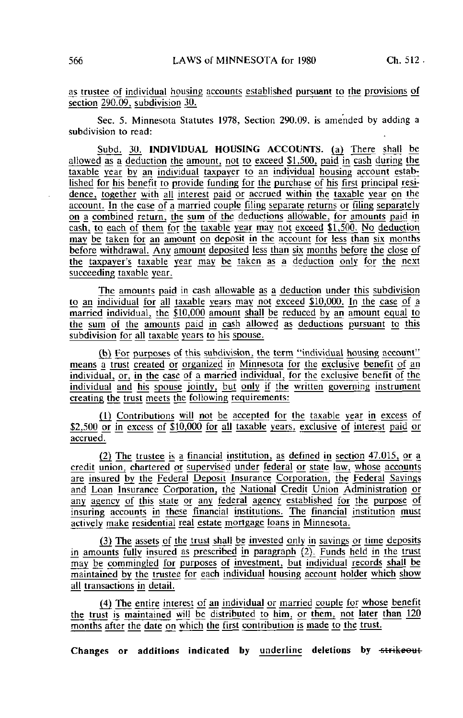35 trustee of individual housing accounts established pursuant to the provisions of section 290.09, subdivision 30.

Sec. 5. Minnesota Statutes 1978, Section 290.09, is amended by adding a subdivision to read:

Subd. 30. INDIVIDUAL HOUSING ACCOUNTS, (a) There shall be allowed as a deduction the amount; not to exceed \$1,500, paid in cash during the taxable year by an individual taxpayer to an individual housing account established for his benefit to provide funding for the purchase of his first principal residence, together with all interest paid or accrued within the taxable year on the account. In the case of a married couple filing separate returns or filing separately on a combined return, the sum of the deductions allo'wable, for amounts paid in cash, to each of them far the taxable year may not exceed \$1,500. No deduction may be taken for an amount on deposit in the account for less than six months before withdrawal. Any amount deposited less than six months before the close of the taxpayer's taxable year may be taken as a deduction only for the next succeeding taxable year.

The amounts paid in cash allowable as a deduction under this subdivision to an individual for all taxable years may not exceed \$10,000. In the case of a married individual, the \$10,000 amount shall be reduced by an amount equal to the sum of the amounts paid in cash allowed as deductions pursuant to this subdivision for all taxable years to his spouse.

(b) For purposes of this subdivision, the term "individual housing account" means a trust created or organized jn Minnesota for the exclusive benefit of an individual, or, in the case of a married individual, for the exclusive benefit of the individual and his spouse jointly, but only if the written governing instrument creating the trust meets the following requirements:

(1) Contributions will not be accepted for the taxable year in excess of \$2,500 or in excess of \$10,000 for all taxable years, exclusive of interest paid or accrued.

(2) The trustee is a financial institution, as defined in section 47.015, or a credit union, chartered or supervised under federal or state law, whose accounts are insured by the Federal Deposit Insurance Corporation, the Federal Savings and Loan Insurance Corporation, the National Credit Union Administration or any agency of this state or any federal agency established for the purpose of insuring accounts in these financial institutions. The financial institution must actively make residential real estate mortgage loans in Minnesota.

 $(3)$  The assets of the trust shall be invested only in savings or time deposits in amounts fully insured as prescribed in paragraph  $(2)$ . Funds held in the trust may be commingled for purposes of investment, but individual records shall be maintained by the trustee for each individual housing account holder which show all transactions in detail.

(4) The entire interest of an indjyidual or married couple for whose benefit the trust is maintained will be distributed to him, or them, not later than 120 months after the date on which the first contribution is made to the trust.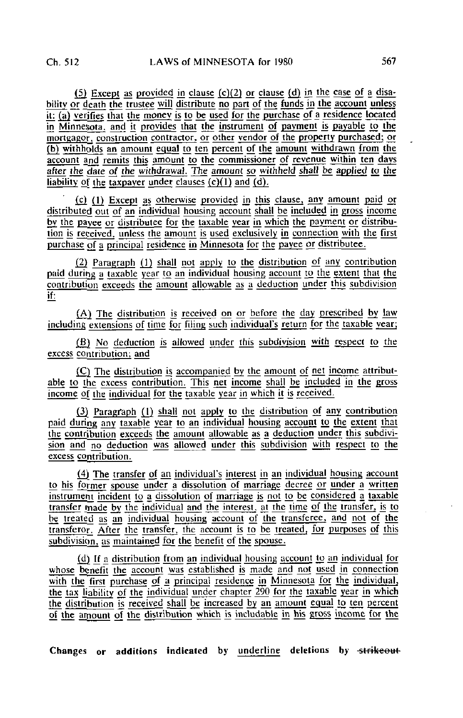(5) Except as provided in clause (c)(2) or clause (d) in the case of a disability or death the trustee will distribute no part of the funds in the account unless it: (a) verifies that the money is to be used for the purchase of a residence located in Minnesota, and it provides that the instrument of payment js payable to the mortgagor, construction contractor, or other vendor of the property purchased; or (b) withholds an amount equal to ten percent of the amount withdrawn from the account and remits this amount to the commissioner of revenue within ten days after the date of the withdrawal. The amount so withheld shall be applied to the liability of the taxpayer under clauses  $(c)(1)$  and  $(d)$ .

(c) (1) Except as otherwise provided in this clause, any amount paid or distributed out of an individual housing account shall be included in gross income by the payee or distributee for the taxable year jn which the payment or distribution is received, unless the amount is used exclusively in\_ connection with the first purchase of a principal residence in Minnesota for the payee or distributee.

(2) Paragraph (1) shall not apply to the distribution of any contribution paid during a taxable year to an individual housing account to the extent that the contribution exceeds the amount allowable as a deduction under this subdivision if:

 $(A)$  The distribution is received on or before the day prescribed by law including extensions of time for filing such individual's return for the taxable year;

(B) No deduction is allowed under this subdivision with respect to the excess contribution; and

(C) The distribution is accompanied by the amount of net income attributable to the excess contribution. This net income shall be included in the gross income of the individual for the taxable year in which it is received.

(3) Paragraph (1) shall not apply to the distribution of any contribution paid during any taxable year to an individual housing account to the extent that the contribution exceeds the amount allowable as a deduction under this subdivision and no deduction was allowed under this subdivision with respect to the excess contribution.

(4) The transfer of an individual's interest in an individual housing account to his former spouse under a dissolution of marriage decree or under a written instrument incident to a dissolution of marriage is not to be considered a taxable transfer made by the individual and the interest, at the time of the transfer, is to be treated as an individual housing account of the transferee, and not of the transferor. After the transfer, the account is to be treated, for purposes of this  $subdivision$ , as maintained for the benefit of the spouse.

(d) If a distribution from an individual housing account to an individual for whose benefit the account was established is made and not used in connection with the first purchase of a principal residence in Minnesota for the individual, the tax liability of the individual under chapter 290 for the taxable year in which the distribution is received shall be increased by an amount equal to ten percent of the amount of the distribution which is includable in his gross income for the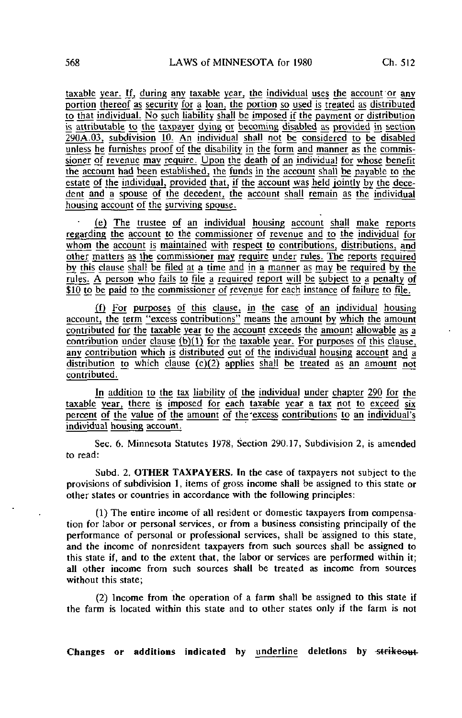taxable year. If, during any taxable year, the individual uses the account or any portion thereof as security for a loan, the portion so used js treated as distributed to that individual. No such liability shall be imposed if the payment or distribution is attributable to the taxpayer dying or becoming disabled as provided in section 290A.03, subdivision 10. An individual shall not be considered to be disabled unless he furnishes proof of the disability in the form and manner as the commissioner of revenue may require. Upon the death of an individual for whose benefit the account had been established, the funds in the account shall be payable to the  $\overline{c}$  estate of the individual, provided that, if the account was held jointly by the decedent and a spouse of the decedent, the account shall remain as the individual housing account of the surviving spouse.

(e) The trustee of an individual housing account shall make reports regarding the account to the commissioner of revenue and to the individual for whom the account is maintained with respect to contributions, distributions, and other matters as the commissioner may require under rules. The reports required by this clause shall be filed at a time and in a manner as may be required by the rules. A person who fails to file a required report will be subject to a penalty of \$10 to be paid to the commissioner of revenue for each instance of failure to file.

(f) For purposes of this clause, in the case of an individual housing account, the term "excess contributions" means the amount by which the amount contributed for the taxable year to the account exceeds the amount allowable as a contribution under clause  $(b)(1)$  for the taxable year. For purposes of this clause, any contribution which is distributed out of the individual housing account and a distribution to which clause (c)(2) applies shall be treated as an amount not contributed.

In addition to the tax liability of the individual under chapter 290 for the taxable year, there is imposed for each taxable year a tax not to exceed six percent of the value of the amount of the 'excess contributions to an individual's individual housing account.

Sec. 6. Minnesota Statutes 1978, Section 290.17, Subdivision 2, is amended to read:

Subd. 2. OTHER TAXPAYERS. In the case of taxpayers not subject to the provisions of subdivision 1, items of gross income shall be assigned to this state or other states or countries in accordance with the following principles:

(1) The entire income of all resident or domestic taxpayers from compensation for labor or personal services, or from a business consisting principally of the performance of personal or professional services, shall be assigned to this state, and the income of nonresident taxpayers from such sources shall be assigned to this state if, and to the extent that, the labor or services are performed within it; all other income from such sources shall be treated as income from sources without this state;

(2) Income from the operation of a farm shall be assigned to this state if the farm is located within this state and to other states only if the farm is not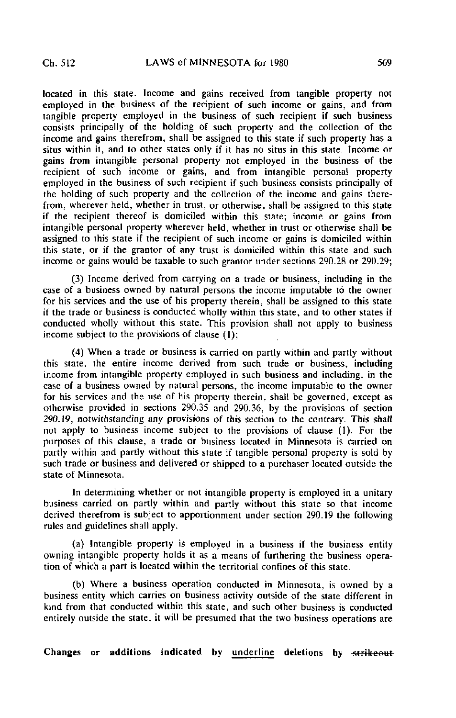located in this state. Income and gains received from tangible property not employed in the business of the recipient of such income or gains, and from tangible property employed in the business of such recipient if such business consists principally of the holding of such property and the collection of the income and gains therefrom, shall be assigned to this state if such property has a situs within it, and to other states only if it has no situs in this state. Income or gains from intangible personal property not employed in the business of the recipient of such income or gains, and from intangible personal property employed in the business of such recipient if such business consists principally of the holding of such property and the collection of the income and gains therefrom, wherever held, whether in trust, or otherwise, shall be assigned to this state if the recipient thereof is domiciled within this state; income or gains from intangible personal property wherever held, whether in trust or otherwise shall be assigned to this state if the recipient of such income or gains is domiciled within this state, or if the grantor of any trust is domiciled within this state and such income or gains would be taxable to such grantor under sections 290.28 or 290.29;

(3) Income derived from carrying on a trade or business, including in the case of a business owned by natural persons the income imputable to the owner for his services and the use of his property therein, shall be assigned to this state if the trade or business is conducted wholly within this state, and to other states if conducted wholly without this state. This provision shall not apply to business income subject to the provisions of clause (1);

(4) When a trade or business is carried on partly within and partly without this state, the entire income derived from such trade or business, including income from intangible property employed in such business and including, in the case of a business owned by natural persons, the income imputable to the owner for his services and the use of his property therein, shall be governed, except as otherwise provided in sections 290.35 and 290.36, by the provisions of section 290.19, notwithstanding any provisions of this section to the contrary. This shall not apply to business income subject to the provisions of clause (1). For the purposes of this clause, a trade or business located in Minnesota is carried on partly within and partly without this state if tangible personal property is sold by such trade or business and delivered or shipped to a purchaser located outside the state of Minnesota.

In determining whether or not intangible property is employed in a unitary business carried on partly within and partly without this state so that income derived therefrom is subject to apportionment under section 290.19 the following rules and guidelines shall apply.

(a) Intangible property is employed in a business if the business entity owning intangible property holds it as a means of furthering the business operation of which a part is located within the territorial confines of this state.

(b) Where a business operation conducted in Minnesota, is owned by a business entity which carries on business activity outside of the state different in kind from that conducted within this state, and such other business is conducted entirely outside the state, it will be presumed that the two business operations are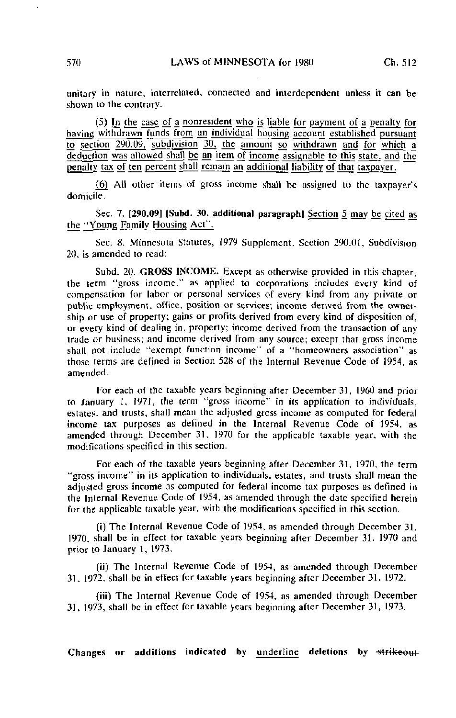unitary in nature, interrelated, connected and interdependent unless it can be shown to the contrary.

(5) In the case of a nonresident who is liable for payment of a penalty for having withdrawn funds from an individual housing account established pursuant to section 290.09, subdivision 30, the amount so withdrawn and for which a deduction was allowed shall be an item of income assignable to this state, and the penalty tax of ten percent shall remain an additional liability of that taxpayer.

(6) All other items of gross income shall be assigned to the taxpayer's domicile.

Sec. 7. [290.09] [Subd. 30. additional paragraph] Section 5 may be cited as the ^Young Family Housing Act".

Sec. 8. Minnesota Statutes, 1979 Supplement. Section 290.01, Subdivision 20, is amended to read:

Subd. 20. GROSS INCOME. Except as otherwise provided in this chapter, the term "gross income," as applied to corporations includes every kind of compensation for labor or personal services of every kind from any piivate or public employment, office, position or services; income derived from the ownership or use of property; gains or profits derived from every kind of disposition of, or every kind of dealing in, property; income derived from the transaction of any trade or business; and income derived from any source; except that gross income shall not include "exempt function income" of a "homeowners association" as those terms are defined in Section 528 of the Internal Revenue Code of 1954, as amended.

For each of the taxable years beginning after December 31, 1960 and prior to January 1, 1971, the term "gross income" in its application to individuals, estates, and trusts, shall mean the adjusted gross income as computed for federal income tax purposes as defined in the Internal Revenue Code of 1954, as amended through December 31. 1970 for the applicable taxable year, with the modifications specified in this section.

For each of the taxable years beginning after December 31, 1970. the term "gross income" in its application to individuals, estates, and trusts shall mean the adjusted gross income as computed for federal income tax purposes as defined in the Internal Revenue Code of 1954. as amended through the date specified herein for the applicable taxable year, with the modifications specified in this section.

(i) The Internal Revenue Code of 1954, as amended through December 31. 1970, shall be in effect for taxable years beginning after December 31. 1970 and prior to January 1, 1973.

(ii) The Internal Revenue Code of 1954, as amended through December 31, 19?2. shall be in effect for taxable years beginning after December 31. 1972.

(iii) The Internal Revenue Code of 1954, as amended through December 31, 1973, shall be in effect for taxable years beginning after December 31, 1973.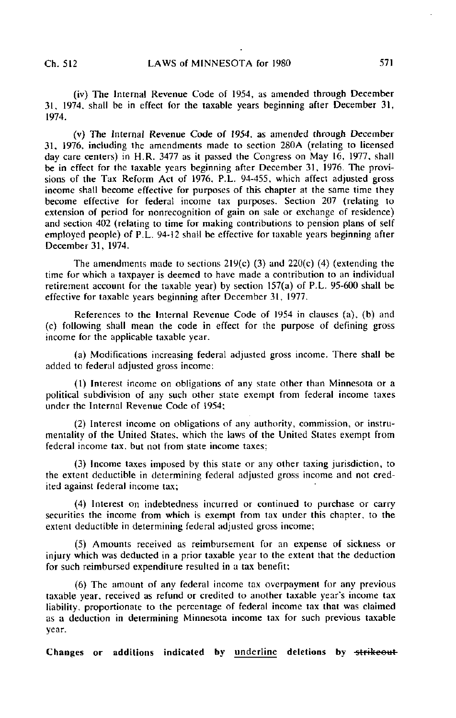(iv) The Internal Revenue Code of 1954, as amended through December 31. 1974, shall be in effect for the taxable years beginning after December 31, 1974.

(v) The Internal Revenue Code of 1954. as amended through December 31, 1976, including the amendments made to section 280A (relating to licensed day care centers) in H.R. 3477 as it passed the Congress on May 16, 1977, shall be in effect for the taxable years beginning after December 31, 1976. The provisions of the Tax Reform Act of 1976, P.L. 94-455, which affect adjusted gross income shall become effective for purposes of this chapter at the same time they become effective for federal income tax purposes. Section 207 (relating to extension of period for nonrecognition of gain on sale or exchange of residence) and section 402 (relating to time for making contributions to pension plans of self employed people) of P.L. 94-12 shall be effective for taxable years beginning after December 31, 1974.

The amendments made to sections  $219(c)$  (3) and  $220(c)$  (4) (extending the time for which a taxpayer is deemed to have made a contribution to an individual retirement account for the taxable year) by section 157(a) of P.L. 95-600 shall be effective for taxable years beginning after December 31, 1977.

References to the Internal Revenue Code of 1954 in clauses (a), (b) and (c) following shall mean the code in effect for the purpose of defining gross income for the applicable taxable year.

(a) Modifications increasing federal adjusted gross income. There shall be added to federal adjusted gross income:

(1) Interest income on obligations of any state other than Minnesota or a political subdivision of any such other state exempt from federal income taxes under the Internal Revenue Code of 1954;

(2) Interest income on obligations of any authority, commission, or instrumentality of the United States, which the laws of the United States exempt from federal income tax. but not from state income taxes;

(3) Income taxes imposed by this state or any other taxing jurisdiction, to the extent deductible in determining federal adjusted gross income and not credited against federal income tax;

(4) Interest on indebtedness incurred or continued to purchase or carry securities the income from which is exempt from tax under this chapter, to the extent deductible in determining federal adjusted gross income;

(5) Amounts received as reimbursement for an expense of sickness or injury which was deducted in a prior taxable year to the extent that the deduction for such reimbursed expenditure resulted in a tax benefit;

(6) The amount of any federal income tax overpayment for any previous taxable year, received as refund or credited to another taxable year's income tax liability, proportionate to the percentage of federal income tax that was claimed as a deduction in determining Minnesota income tax for such previous taxable year.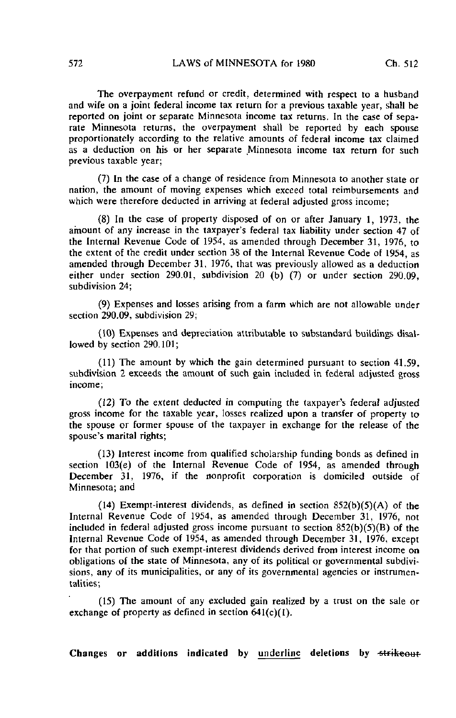The overpayment refund or credit, determined with respect to a husband and wife on a joint federal income tax return for a previous taxable year, shall be reported on joint or separate Minnesota income tax returns. In the case of separate Minnesota returns, the overpayment shall be reported by each spouse proportionately according to the relative amounts of federal income tax claimed as a deduction on his or her separate Minnesota income tax return for such previous taxable year;

(7) In the case of a change of residence from Minnesota to another state or nation, the amount of moving expenses which exceed total reimbursements and which were therefore deducted in arriving at federal adjusted gross income;

(8) In the case of property disposed of on or after January 1, 1973, the amount of any increase in the taxpayer's federal tax liability under section 47 of the Internal Revenue Code of 1954, as amended through December 31, 1976, to the extent of the credit under section 38 of the Internal Revenue Code of 1954, as amended through December 31, 1976, that was previously allowed as a deduction either under section 290.01, subdivision 20 (b) (7) or under section 290.09, subdivision 24;

(9) Expenses and losses arising from a farm which are not allowable under section 290.09, subdivision 29;

(10) Expenses and depreciation attributable to substandard buildings disallowed by section 290.101;

(11) The amount by which the gain determined pursuant to section 41.59, subdivision 2 exceeds the amount of such gain included in federal adjusted gross income;

(12) To the extent deducted in computing the taxpayer's federal adjusted gross income for the taxable year, losses realized upon a transfer of property to the spouse or former spouse of the taxpayer in exchange for the release of the spouse's marital rights;

(13) Interest income from qualified scholarship funding bonds as defined in section 103(e) of the Internal Revenue Code of 1954, as amended through December 31, 1976, if the nonprofit corporation is domiciled outside of Minnesota; and

(14) Exempt-interest dividends, as defined in section  $852(b)(5)(A)$  of the Internal Revenue Code of 1954, as amended through December 31, 1976, not included in federal adjusted gross income pursuant to section  $852(b)(5)(B)$  of the Internal Revenue Code of 1954, as amended through December 31, 1976, except for that portion of such exempt-interest dividends derived from interest income on obligations of the state of Minnesota, any of its political or governmental subdivisions, any of its municipalities, or any of its governmental agencies or instrumentalities;

(15) The amount of any excluded gain realized by a trust on the sale or exchange of property as defined in section 641(c)(I).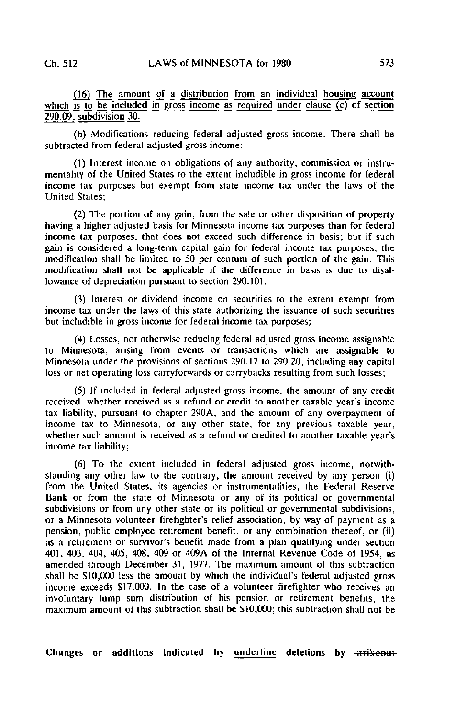(16) The amount of a distribution from an individual housing account which is to be included in gross income as required under clause (c) of section 290.09, subdivision 30.

(b) Modifications reducing federal adjusted gross income. There shall be subtracted from federal adjusted gross income:

(1) Interest income on obligations of any authority, commission or instrumentality of the United States to the extent includible in gross income for federal income tax purposes but exempt from state income tax under the laws of the United States;

(2) The portion of any gain, from the sale or other disposition of property having a higher adjusted basis for Minnesota income tax purposes than for federal income tax purposes, that does not exceed such difference in basis; but if such gain is considered a long-term capital gain for federal income tax purposes, the modification shall be limited to 50 per centum of such portion of the gain. This modification shall not be applicable if the difference in basis is due to disallowance of depreciation pursuant to section 290.101.

(3) Interest or dividend income on securities to the extent exempt from income tax under the laws of this state authorizing the issuance of such securities but includible in gross income for federal income tax purposes;

(4) Losses, not otherwise reducing federal adjusted gross income assignable to Minnesota, arising from events or transactions which are assignable to Minnesota under the provisions of sections 290.17 to 290.20, including any capital loss or net operating loss carryforwards or carrybacks resulting from such losses;

(5) If included in federal adjusted gross income, the amount of any credit received, whether received as a refund or credit to another taxable year's income tax liability, pursuant to chapter 290A, and the amount of any overpayment of income tax to Minnesota, or any other state, for any previous taxable year, whether such amount is received as a refund or credited to another taxable year's income tax liability;

(6) To the extent included in federal adjusted gross income, notwithstanding any other law to the contrary, the amount received by any person (i) from the United States, its agencies or instrumentalities, the Federal Reserve Bank or from the state of Minnesota or any of its political or governmental subdivisions or from any other state or its political or governmental subdivisions, or a Minnesota volunteer firefighter's relief association, by way of payment as a pension, public employee retirement benefit, or any combination thereof, or (ii) as a retirement or survivor's benefit made from a plan qualifying under section 401, 403, 404, 405, 408. 409 or 409A of the Internal Revenue Code of 1954, as amended through December 31, 1977. The maximum amount of this subtraction shall be \$10,000 less the amount by which the individual's federal adjusted gross income exceeds \$17.000. In the case of a volunteer firefighter who receives an involuntary lump sum distribution of his pension or retirement benefits, the maximum amount of this subtraction shall be \$10,000; this subtraction shall not be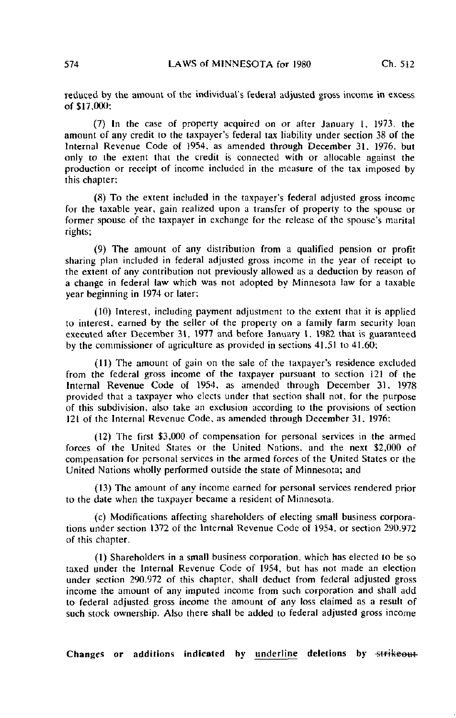reduced by the amount of the individual's federal adjusted gross income in excess of \$17,000;

(7) In the case of property acquired on or after January 1, 1973, the amount of any credit to the taxpayer's federal tax liability under section 38 of the Internal Revenue Code of 1954, as amended through December 31. 1976. but only to the extent that the credit is connected with or allocable against the production or receipt of income included in the measure of the tax imposed by this chapter;

(8) To the extent included in the taxpayer's federal adjusted gross income for the taxable year, gain realized upon a transfer of property to the spouse or former spouse of the taxpayer in exchange for the release of the spouse's marital rights;

(9) The amount of any distribution from a qualified pension or profit sharing plan included in federal adjusted gross income in the year of receipt to the extent of any contribution not previously allowed as a deduction by reason of a change in federal law which was not adopted by Minnesota law for a taxable year beginning in 1974 or later;

(10) Interest, including payment adjustment to the extent that it is applied to interest, earned by the seller of the property on a family farm security loan executed after December 31, 1977 and before January 1. 1982 that is guaranteed by the commissioner of agriculture as provided in sections 41.51 to 41.60;

(11) The amount of gain on the sale of the taxpayer's residence excluded from the federal gross income of the taxpayer pursuant to section 121 of the Internal Revenue Code of 1954. as amended through December 31, 1978 provided that a taxpayer who elects under that section shall not, for the purpose of this subdivision, also take an exclusion according to the provisions of section 121 of the Internal Revenue Code, as amended through December 31. 1976;

(12) The first \$3,000 of compensation for personal services in the armed forces of the United States or the United Nations, and the next \$2,000 of compensation for personal services in the armed forces of the United States or the United Nations wholly performed outside the state of Minnesota; and

(13) The amount of any income earned for personal services rendered prior to the date when the taxpayer became a resident of Minnesota.

(c) Modifications affecting shareholders of electing small business corporations under section 1372 of the Internal Revenue Code of 1954. or section 290.972 of this chapter.

(1) Shareholders in a small business corporation, which has elected to be so taxed under the Internal Revenue Code of 1954, but has not made an election under section 290,972 of this chapter, shall deduct from federal adjusted gross income the amount of any imputed income from such corporation and shall add to federal adjusted gross income the amount of any loss claimed as a result of such stock ownership. Also there shall be added to federal adjusted gross income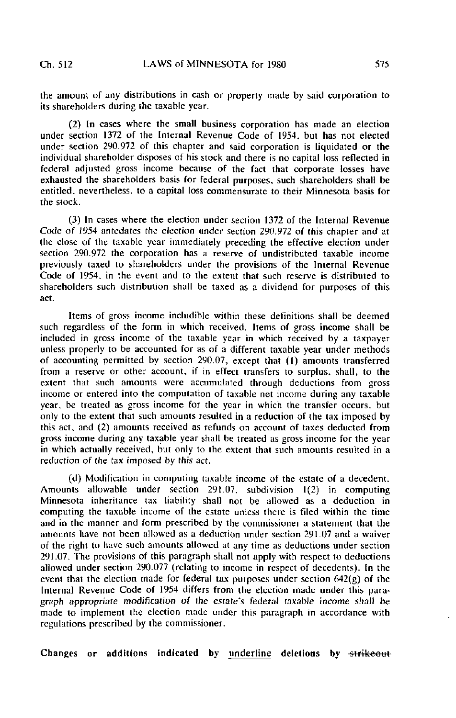the amount of any distributions in cash or property made by said corporation to its shareholders during the taxable year.

(2) In cases where the small business corporation has made an election under section 1372 of the Internal Revenue Code of 1954, but has not elected under section 290.972 of this chapter and said corporation is liquidated or the individual shareholder disposes of his stock and there is no capital loss reflected in federal adjusted gross income because of the fact that corporate losses have exhausted the shareholders basis for federal purposes, such shareholders shall be entitled, nevertheless, to a capital loss commensurate to their Minnesota basis for the stock.

(3) In cases where the election under section 1372 of the Internal Revenue Code of 1954 antedates the election under section 290.972 of this chapter and at the close of the taxable year immediately preceding the effective election under section 290.972 the corporation has a reserve of undistributed taxable income previously taxed to shareholders under the provisions of the Internal Revenue Code of 1954. in the event and to the extent that such reserve is distributed to shareholders such distribution shall be taxed as a dividend for purposes of this act.

Items of gross income includible within these definitions shall he deemed such regardless of the form in which received. Items of gross income shall be included in gross income of the taxable year in which received by a taxpayer unless properly to be accounted for as of a different taxable year under methods of accounting permitted by section 290.07, except that (1) amounts transferred from a reserve or other account, if in effect transfers to surplus, shall, to the extent that such amounts were accumulated through deductions from gross income or entered into the computation of taxable net income during any taxable year, be treated as gross income for the year in which the transfer occurs, but only to the extent that such amounts resulted in a reduction of the tax imposed by this act, and (2) amounts received as refunds on account of taxes deducted from gross income during any taxable year shall be treated as gross income for the year in which actually received, but only to the extent that such amounts resulted in a reduction of the tax imposed by this act.

(d) Modification in computing taxable income of the estate of a decedent. Amounts allowable under section 291.07, subdivision 1(2) in computing Minnesota inheritance tax liability shall not be allowed as a deduction in computing the taxable income of the estate unless there is filed within the time and in the manner and form prescribed by the commissioner a statement that the amounts have not been allowed as a deduction under section 291.07 and a waiver of the right to have such amounts allowed at any time as deductions under section 291.07. The provisions of this paragraph shall not apply with respect to deductions allowed under section 290.077 (relating to income in respect of decedents). In the event that the election made for federal tax purposes under section 642(g) of the Internal Revenue Code of 1954 differs from the election made under this paragraph appropriate modification of the estate's federal taxable income shall be made to implement the election made under this paragraph in accordance with regulations prescribed by the commissioner.